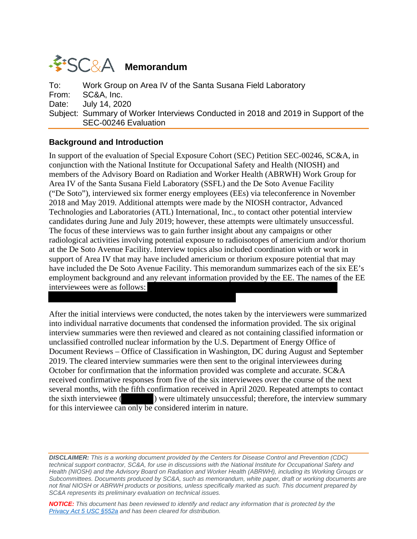# **WESC&A** Memorandum

To: Work Group on Area IV of the Santa Susana Field Laboratory From: SC&A, Inc. Date: July 14, 2020 Subject: Summary of Worker Interviews Conducted in 2018 and 2019 in Support of the SEC-00246 Evaluation

### **Background and Introduction**

In support of the evaluation of Special Exposure Cohort (SEC) Petition SEC-00246, SC&A, in conjunction with the National Institute for Occupational Safety and Health (NIOSH) and members of the Advisory Board on Radiation and Worker Health (ABRWH) Work Group for Area IV of the Santa Susana Field Laboratory (SSFL) and the De Soto Avenue Facility ("De Soto"), interviewed six former energy employees (EEs) via teleconference in November 2018 and May 2019. Additional attempts were made by the NIOSH contractor, Advanced Technologies and Laboratories (ATL) International, Inc., to contact other potential interview candidates during June and July 2019; however, these attempts were ultimately unsuccessful. The focus of these interviews was to gain further insight about any campaigns or other radiological activities involving potential exposure to radioisotopes of americium and/or thorium at the De Soto Avenue Facility. Interview topics also included coordination with or work in support of Area IV that may have included americium or thorium exposure potential that may have included the De Soto Avenue Facility. This memorandum summarizes each of the six EE's employment background and any relevant information provided by the EE. The names of the EE interviewees were as follows:

After the initial interviews were conducted, the notes taken by the interviewers were summarized into individual narrative documents that condensed the information provided. The six original interview summaries were then reviewed and cleared as not containing classified information or unclassified controlled nuclear information by the U.S. Department of Energy Office of Document Reviews – Office of Classification in Washington, DC during August and September 2019. The cleared interview summaries were then sent to the original interviewees during October for confirmation that the information provided was complete and accurate. SC&A received confirmative responses from five of the six interviewees over the course of the next several months, with the fifth confirmation received in April 2020. Repeated attempts to contact the sixth interviewee ( ) were ultimately unsuccessful; therefore, the interview summary for this interviewee can only be considered interim in nature.

*DISCLAIMER: This is a working document provided by the Centers for Disease Control and Prevention (CDC) technical support contractor, SC&A, for use in discussions with the National Institute for Occupational Safety and Health (NIOSH) and the Advisory Board on Radiation and Worker Health (ABRWH), including its Working Groups or Subcommittees. Documents produced by SC&A, such as memorandum, white paper, draft or working documents are not final NIOSH or ABRWH products or positions, unless specifically marked as such. This document prepared by SC&A represents its preliminary evaluation on technical issues.*

*NOTICE: This document has been reviewed to identify and redact any information that is protected by the [Privacy Act 5 USC §552a](http://www.justice.gov/opcl/privacy-act-1974) and has been cleared for distribution.*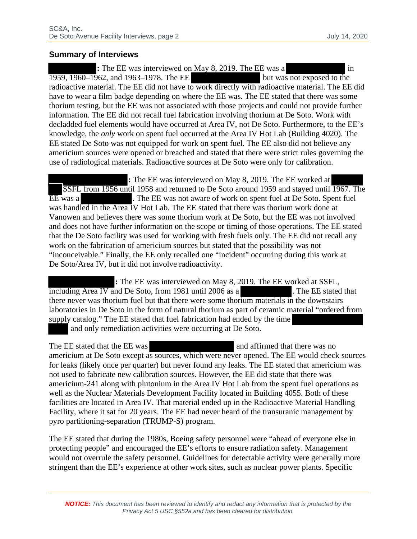#### **Summary of Interviews**

**:** The EE was interviewed on May 8, 2019. The EE was a in  $1959, 1960-1962$ , and  $1963-1978$ . The EE but was not exposed to the radioactive material. The EE did not have to work directly with radioactive material. The EE did have to wear a film badge depending on where the EE was. The EE stated that there was some thorium testing, but the EE was not associated with those projects and could not provide further information. The EE did not recall fuel fabrication involving thorium at De Soto. Work with decladded fuel elements would have occurred at Area IV, not De Soto. Furthermore, to the EE's knowledge, the *only* work on spent fuel occurred at the Area IV Hot Lab (Building 4020). The EE stated De Soto was not equipped for work on spent fuel. The EE also did not believe any americium sources were opened or breached and stated that there were strict rules governing the use of radiological materials. Radioactive sources at De Soto were only for calibration.

**:** The EE was interviewed on May 8, 2019. The EE worked at SSFL from 1956 until 1958 and returned to De Soto around 1959 and stayed until 1967. The EE was a . The EE was not aware of work on spent fuel at De Soto. Spent fuel was handled in the Area IV Hot Lab. The EE stated that there was thorium work done at Vanowen and believes there was some thorium work at De Soto, but the EE was not involved and does not have further information on the scope or timing of those operations. The EE stated that the De Soto facility was used for working with fresh fuels only. The EE did not recall any work on the fabrication of americium sources but stated that the possibility was not "inconceivable." Finally, the EE only recalled one "incident" occurring during this work at De Soto/Area IV, but it did not involve radioactivity.

**:** The EE was interviewed on May 8, 2019. The EE worked at SSFL, including Area IV and De Soto, from 1981 until 2006 as a . The EE stated that there never was thorium fuel but that there were some thorium materials in the downstairs laboratories in De Soto in the form of natural thorium as part of ceramic material "ordered from supply catalog." The EE stated that fuel fabrication had ended by the time and only remediation activities were occurring at De Soto.

The EE stated that the EE was and affirmed that there was no americium at De Soto except as sources, which were never opened. The EE would check sources for leaks (likely once per quarter) but never found any leaks. The EE stated that americium was not used to fabricate new calibration sources. However, the EE did state that there was americium-241 along with plutonium in the Area IV Hot Lab from the spent fuel operations as well as the Nuclear Materials Development Facility located in Building 4055. Both of these facilities are located in Area IV. That material ended up in the Radioactive Material Handling Facility, where it sat for 20 years. The EE had never heard of the transuranic management by pyro partitioning-separation (TRUMP-S) program.

The EE stated that during the 1980s, Boeing safety personnel were "ahead of everyone else in protecting people" and encouraged the EE's efforts to ensure radiation safety. Management would not overrule the safety personnel. Guidelines for detectable activity were generally more stringent than the EE's experience at other work sites, such as nuclear power plants. Specific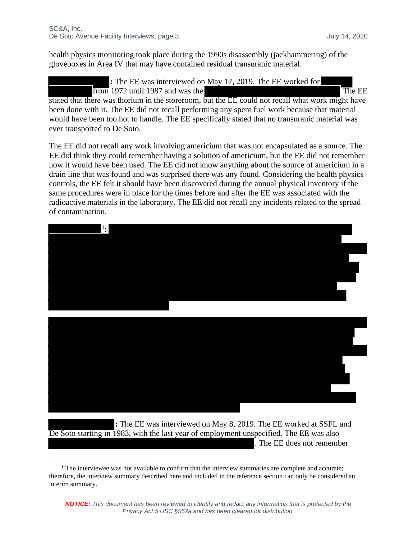health physics monitoring took place during the 1990s disassembly (jackhammering) of the gloveboxes in Area IV that may have contained residual transuranic material.

**:** The EE was interviewed on May 17, 2019. The EE worked for from 1972 until 1987 and was the The EE stated that there was thorium in the storeroom, but the EE could not recall what work might have

been done with it. The EE did not recall performing any spent fuel work because that material would have been too hot to handle. The EE specifically stated that no transuranic material was ever transported to De Soto.

The EE did not recall any work involving americium that was not encapsulated as a source. The EE did think they could remember having a solution of americium, but the EE did not remember how it would have been used. The EE did not know anything about the source of americium in a drain line that was found and was surprised there was any found. Considering the health physics controls, the EE felt it should have been discovered during the annual physical inventory if the same procedures were in place for the times before and after the EE was associated with the radioactive materials in the laboratory. The EE did not recall any incidents related to the spread of contamination.



**:** The EE was interviewed on May 8, 2019. The EE worked at SSFL and De Soto starting in 1983, with the last year of employment unspecified. The EE was also . The EE does not remember

<span id="page-2-0"></span><sup>&</sup>lt;sup>1</sup> The interviewee was not available to confirm that the interview summaries are complete and accurate; therefore, the interview summary described here and included in the reference section can only be considered an interim summary.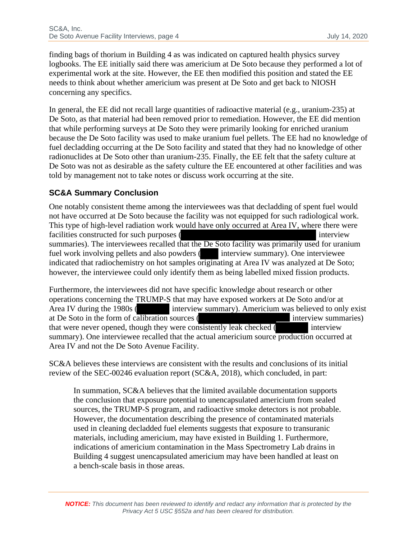finding bags of thorium in Building 4 as was indicated on captured health physics survey logbooks. The EE initially said there was americium at De Soto because they performed a lot of experimental work at the site. However, the EE then modified this position and stated the EE needs to think about whether americium was present at De Soto and get back to NIOSH concerning any specifics.

In general, the EE did not recall large quantities of radioactive material (e.g., uranium-235) at De Soto, as that material had been removed prior to remediation. However, the EE did mention that while performing surveys at De Soto they were primarily looking for enriched uranium because the De Soto facility was used to make uranium fuel pellets. The EE had no knowledge of fuel decladding occurring at the De Soto facility and stated that they had no knowledge of other radionuclides at De Soto other than uranium-235. Finally, the EE felt that the safety culture at De Soto was not as desirable as the safety culture the EE encountered at other facilities and was told by management not to take notes or discuss work occurring at the site.

## **SC&A Summary Conclusion**

One notably consistent theme among the interviewees was that decladding of spent fuel would not have occurred at De Soto because the facility was not equipped for such radiological work. This type of high-level radiation work would have only occurred at Area IV, where there were facilities constructed for such purposes ( interview interview interview interview) summaries). The interviewees recalled that the De Soto facility was primarily used for uranium fuel work involving pellets and also powders (interview summary). One interviewee indicated that radiochemistry on hot samples originating at Area IV was analyzed at De Soto; however, the interviewee could only identify them as being labelled mixed fission products.

Furthermore, the interviewees did not have specific knowledge about research or other operations concerning the TRUMP-S that may have exposed workers at De Soto and/or at Area IV during the 1980s (interview summary). Americium was believed to only exist at De Soto in the form of calibration sources ( interview summaries) that were never opened, though they were consistently leak checked ( interview summary). One interviewee recalled that the actual americium source production occurred at Area IV and not the De Soto Avenue Facility.

SC&A believes these interviews are consistent with the results and conclusions of its initial review of the SEC-00246 evaluation report (SC&A, 2018), which concluded, in part:

In summation, SC&A believes that the limited available documentation supports the conclusion that exposure potential to unencapsulated americium from sealed sources, the TRUMP-S program, and radioactive smoke detectors is not probable. However, the documentation describing the presence of contaminated materials used in cleaning decladded fuel elements suggests that exposure to transuranic materials, including americium, may have existed in Building 1. Furthermore, indications of americium contamination in the Mass Spectrometry Lab drains in Building 4 suggest unencapsulated americium may have been handled at least on a bench-scale basis in those areas.